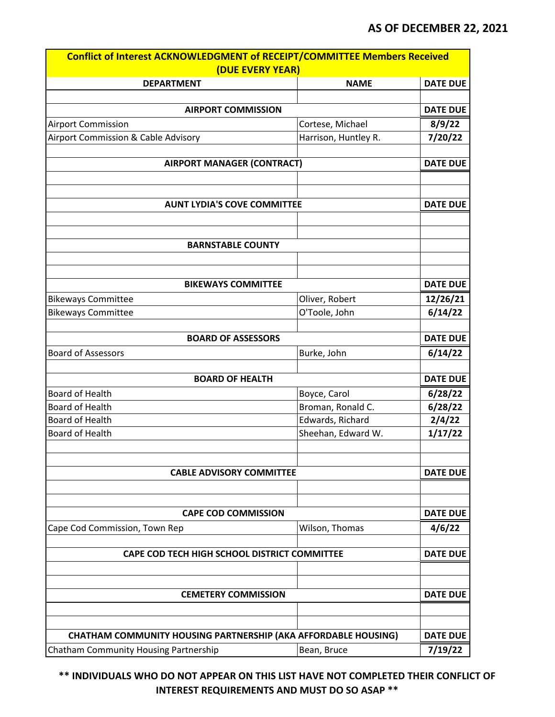| Conflict of Interest ACKNOWLEDGMENT of RECEIPT/COMMITTEE Members Received |                      |                 |  |
|---------------------------------------------------------------------------|----------------------|-----------------|--|
| (DUE EVERY YEAR)                                                          |                      |                 |  |
| <b>DEPARTMENT</b>                                                         | <b>NAME</b>          | <b>DATE DUE</b> |  |
|                                                                           |                      |                 |  |
| <b>AIRPORT COMMISSION</b>                                                 |                      | <b>DATE DUE</b> |  |
| <b>Airport Commission</b>                                                 | Cortese, Michael     | 8/9/22          |  |
| Airport Commission & Cable Advisory                                       | Harrison, Huntley R. | 7/20/22         |  |
| <b>AIRPORT MANAGER (CONTRACT)</b>                                         |                      | <b>DATE DUE</b> |  |
| <b>AUNT LYDIA'S COVE COMMITTEE</b>                                        |                      | <b>DATE DUE</b> |  |
|                                                                           |                      |                 |  |
| <b>BARNSTABLE COUNTY</b>                                                  |                      |                 |  |
| <b>BIKEWAYS COMMITTEE</b>                                                 |                      | <b>DATE DUE</b> |  |
| <b>Bikeways Committee</b>                                                 | Oliver, Robert       | 12/26/21        |  |
| <b>Bikeways Committee</b>                                                 | O'Toole, John        | 6/14/22         |  |
|                                                                           |                      |                 |  |
| <b>BOARD OF ASSESSORS</b>                                                 |                      | <b>DATE DUE</b> |  |
| <b>Board of Assessors</b>                                                 | Burke, John          | 6/14/22         |  |
| <b>BOARD OF HEALTH</b>                                                    |                      | <b>DATE DUE</b> |  |
| Board of Health                                                           | Boyce, Carol         | 6/28/22         |  |
| <b>Board of Health</b>                                                    | Broman, Ronald C.    | 6/28/22         |  |
| <b>Board of Health</b>                                                    | Edwards, Richard     | 2/4/22          |  |
| Board of Health                                                           | Sheehan, Edward W.   | 1/17/22         |  |
| <b>CABLE ADVISORY COMMITTEE</b>                                           |                      | <b>DATE DUE</b> |  |
| <b>CAPE COD COMMISSION</b>                                                |                      | <b>DATE DUE</b> |  |
| Cape Cod Commission, Town Rep                                             | Wilson, Thomas       | 4/6/22          |  |
|                                                                           |                      |                 |  |
| CAPE COD TECH HIGH SCHOOL DISTRICT COMMITTEE                              |                      | <b>DATE DUE</b> |  |
| <b>CEMETERY COMMISSION</b>                                                |                      | <b>DATE DUE</b> |  |
| <b>CHATHAM COMMUNITY HOUSING PARTNERSHIP (AKA AFFORDABLE HOUSING)</b>     |                      | <b>DATE DUE</b> |  |
| Chatham Community Housing Partnership                                     | Bean, Bruce          | 7/19/22         |  |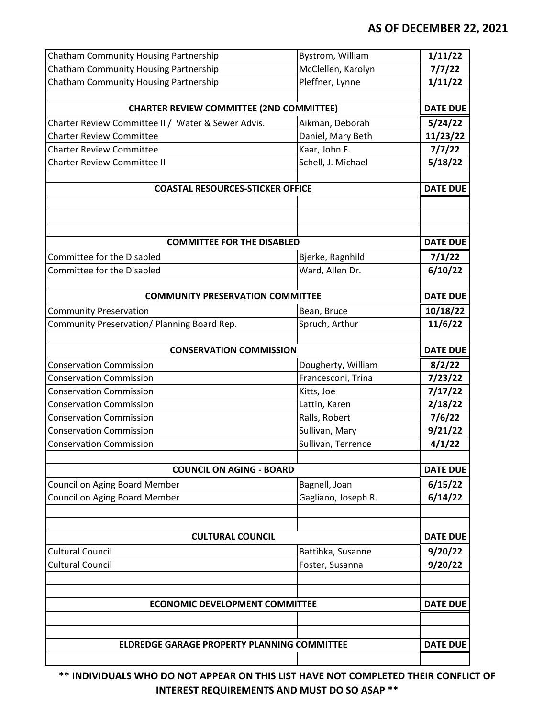| Chatham Community Housing Partnership              | Bystrom, William    | 1/11/22         |
|----------------------------------------------------|---------------------|-----------------|
| Chatham Community Housing Partnership              | McClellen, Karolyn  | 7/7/22          |
| Chatham Community Housing Partnership              | Pleffner, Lynne     | 1/11/22         |
|                                                    |                     |                 |
| <b>CHARTER REVIEW COMMITTEE (2ND COMMITTEE)</b>    |                     | <b>DATE DUE</b> |
| Charter Review Committee II / Water & Sewer Advis. | Aikman, Deborah     | 5/24/22         |
| <b>Charter Review Committee</b>                    | Daniel, Mary Beth   | 11/23/22        |
| <b>Charter Review Committee</b>                    | Kaar, John F.       | 7/7/22          |
| <b>Charter Review Committee II</b>                 | Schell, J. Michael  | 5/18/22         |
|                                                    |                     |                 |
| <b>COASTAL RESOURCES-STICKER OFFICE</b>            |                     | <b>DATE DUE</b> |
|                                                    |                     |                 |
|                                                    |                     |                 |
|                                                    |                     |                 |
| <b>COMMITTEE FOR THE DISABLED</b>                  |                     | <b>DATE DUE</b> |
| <b>Committee for the Disabled</b>                  | Bjerke, Ragnhild    | 7/1/22          |
| <b>Committee for the Disabled</b>                  | Ward, Allen Dr.     | 6/10/22         |
| <b>COMMUNITY PRESERVATION COMMITTEE</b>            |                     | <b>DATE DUE</b> |
|                                                    |                     |                 |
| <b>Community Preservation</b>                      | Bean, Bruce         | 10/18/22        |
| Community Preservation/ Planning Board Rep.        | Spruch, Arthur      | 11/6/22         |
| <b>CONSERVATION COMMISSION</b>                     |                     | <b>DATE DUE</b> |
| <b>Conservation Commission</b>                     | Dougherty, William  | 8/2/22          |
| <b>Conservation Commission</b>                     | Francesconi, Trina  | 7/23/22         |
| <b>Conservation Commission</b>                     | Kitts, Joe          | 7/17/22         |
| <b>Conservation Commission</b>                     | Lattin, Karen       | 2/18/22         |
| <b>Conservation Commission</b>                     | Ralls, Robert       | 7/6/22          |
| <b>Conservation Commission</b>                     | Sullivan, Mary      | 9/21/22         |
| <b>Conservation Commission</b>                     | Sullivan, Terrence  | 4/1/22          |
|                                                    |                     |                 |
| <b>COUNCIL ON AGING - BOARD</b>                    |                     | <b>DATE DUE</b> |
| Council on Aging Board Member                      | Bagnell, Joan       | 6/15/22         |
| <b>Council on Aging Board Member</b>               | Gagliano, Joseph R. | 6/14/22         |
|                                                    |                     |                 |
| <b>CULTURAL COUNCIL</b>                            |                     | <b>DATE DUE</b> |
| <b>Cultural Council</b>                            | Battihka, Susanne   | 9/20/22         |
| <b>Cultural Council</b>                            | Foster, Susanna     | 9/20/22         |
|                                                    |                     |                 |
|                                                    |                     |                 |
| <b>ECONOMIC DEVELOPMENT COMMITTEE</b>              |                     | <b>DATE DUE</b> |
|                                                    |                     |                 |
|                                                    |                     |                 |
| <b>ELDREDGE GARAGE PROPERTY PLANNING COMMITTEE</b> |                     | <b>DATE DUE</b> |
|                                                    |                     |                 |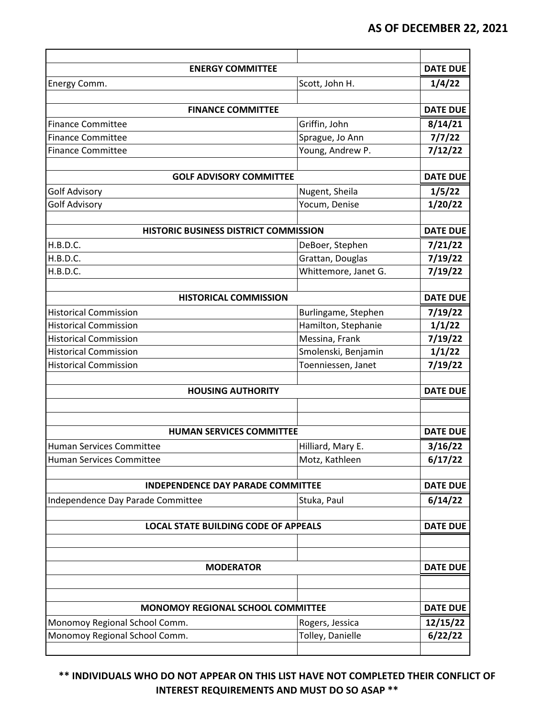| <b>ENERGY COMMITTEE</b>                     |                      | <b>DATE DUE</b> |
|---------------------------------------------|----------------------|-----------------|
| Energy Comm.                                | Scott, John H.       | 1/4/22          |
| <b>FINANCE COMMITTEE</b>                    |                      | <b>DATE DUE</b> |
| <b>Finance Committee</b>                    | Griffin, John        | 8/14/21         |
| <b>Finance Committee</b>                    | Sprague, Jo Ann      | 7/7/22          |
| <b>Finance Committee</b>                    | Young, Andrew P.     | 7/12/22         |
| <b>GOLF ADVISORY COMMITTEE</b>              |                      | <b>DATE DUE</b> |
| <b>Golf Advisory</b>                        | Nugent, Sheila       | 1/5/22          |
| <b>Golf Advisory</b>                        | Yocum, Denise        | 1/20/22         |
|                                             |                      |                 |
| HISTORIC BUSINESS DISTRICT COMMISSION       |                      | <b>DATE DUE</b> |
| H.B.D.C.                                    | DeBoer, Stephen      | 7/21/22         |
| H.B.D.C.                                    | Grattan, Douglas     | 7/19/22         |
| H.B.D.C.                                    | Whittemore, Janet G. | 7/19/22         |
|                                             |                      |                 |
| <b>HISTORICAL COMMISSION</b>                |                      | <b>DATE DUE</b> |
| <b>Historical Commission</b>                | Burlingame, Stephen  | 7/19/22         |
| <b>Historical Commission</b>                | Hamilton, Stephanie  | 1/1/22          |
| <b>Historical Commission</b>                | Messina, Frank       | 7/19/22         |
| <b>Historical Commission</b>                | Smolenski, Benjamin  | 1/1/22          |
| <b>Historical Commission</b>                | Toenniessen, Janet   | 7/19/22         |
|                                             |                      |                 |
| <b>HOUSING AUTHORITY</b>                    |                      | <b>DATE DUE</b> |
|                                             |                      |                 |
| <b>HUMAN SERVICES COMMITTEE</b>             |                      | <b>DATE DUE</b> |
| <b>Human Services Committee</b>             | Hilliard, Mary E.    | 3/16/22         |
| Human Services Committee                    | Motz, Kathleen       | 6/17/22         |
| <b>INDEPENDENCE DAY PARADE COMMITTEE</b>    |                      | <b>DATE DUE</b> |
| Independence Day Parade Committee           | Stuka, Paul          | 6/14/22         |
| <b>LOCAL STATE BUILDING CODE OF APPEALS</b> |                      | <b>DATE DUE</b> |
|                                             |                      |                 |
|                                             |                      |                 |
| <b>MODERATOR</b>                            |                      | <b>DATE DUE</b> |
|                                             |                      |                 |
| MONOMOY REGIONAL SCHOOL COMMITTEE           | <b>DATE DUE</b>      |                 |
| Monomoy Regional School Comm.               | Rogers, Jessica      | 12/15/22        |
| Monomoy Regional School Comm.               | Tolley, Danielle     | 6/22/22         |
|                                             |                      |                 |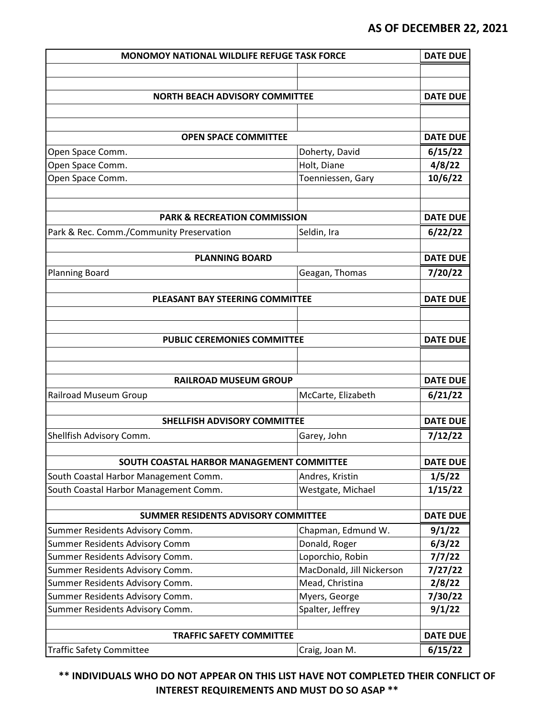| <b>MONOMOY NATIONAL WILDLIFE REFUGE TASK FORCE</b>                 |                                              | <b>DATE DUE</b>   |
|--------------------------------------------------------------------|----------------------------------------------|-------------------|
|                                                                    |                                              |                   |
|                                                                    |                                              |                   |
| <b>NORTH BEACH ADVISORY COMMITTEE</b>                              |                                              | <b>DATE DUE</b>   |
|                                                                    |                                              |                   |
|                                                                    |                                              |                   |
| <b>OPEN SPACE COMMITTEE</b>                                        |                                              | <b>DATE DUE</b>   |
| Open Space Comm.                                                   | Doherty, David                               | 6/15/22           |
| Open Space Comm.                                                   | Holt, Diane                                  | 4/8/22            |
| Open Space Comm.                                                   | Toenniessen, Gary                            | 10/6/22           |
|                                                                    |                                              |                   |
| <b>PARK &amp; RECREATION COMMISSION</b>                            |                                              | <b>DATE DUE</b>   |
|                                                                    |                                              |                   |
| Park & Rec. Comm./Community Preservation                           | Seldin, Ira                                  | 6/22/22           |
| <b>PLANNING BOARD</b>                                              |                                              | <b>DATE DUE</b>   |
| <b>Planning Board</b>                                              | Geagan, Thomas                               | 7/20/22           |
|                                                                    |                                              |                   |
| <b>PLEASANT BAY STEERING COMMITTEE</b>                             |                                              | <b>DATE DUE</b>   |
|                                                                    |                                              |                   |
|                                                                    |                                              |                   |
| <b>PUBLIC CEREMONIES COMMITTEE</b>                                 |                                              | <b>DATE DUE</b>   |
|                                                                    |                                              |                   |
|                                                                    |                                              |                   |
| <b>RAILROAD MUSEUM GROUP</b>                                       |                                              | <b>DATE DUE</b>   |
| Railroad Museum Group                                              | McCarte, Elizabeth                           | 6/21/22           |
|                                                                    |                                              |                   |
| <b>SHELLFISH ADVISORY COMMITTEE</b>                                |                                              | <b>DATE DUE</b>   |
| Shellfish Advisory Comm.                                           | Garey, John                                  | 7/12/22           |
|                                                                    |                                              |                   |
| SOUTH COASTAL HARBOR MANAGEMENT COMMITTEE                          |                                              | <b>DATE DUE</b>   |
| South Coastal Harbor Management Comm.                              | Andres, Kristin                              | 1/5/22            |
| South Coastal Harbor Management Comm.                              | Westgate, Michael                            | 1/15/22           |
|                                                                    |                                              |                   |
| SUMMER RESIDENTS ADVISORY COMMITTEE                                |                                              | <b>DATE DUE</b>   |
| Summer Residents Advisory Comm.                                    | Chapman, Edmund W.                           | 9/1/22            |
| Summer Residents Advisory Comm                                     | Donald, Roger                                | 6/3/22            |
| Summer Residents Advisory Comm.                                    | Loporchio, Robin                             | 7/7/22            |
| Summer Residents Advisory Comm.                                    | MacDonald, Jill Nickerson<br>Mead, Christina | 7/27/22           |
| Summer Residents Advisory Comm.<br>Summer Residents Advisory Comm. | Myers, George                                | 2/8/22<br>7/30/22 |
| Summer Residents Advisory Comm.                                    | Spalter, Jeffrey                             | 9/1/22            |
|                                                                    |                                              |                   |
| <b>TRAFFIC SAFETY COMMITTEE</b>                                    |                                              | <b>DATE DUE</b>   |
| <b>Traffic Safety Committee</b>                                    | Craig, Joan M.                               | 6/15/22           |